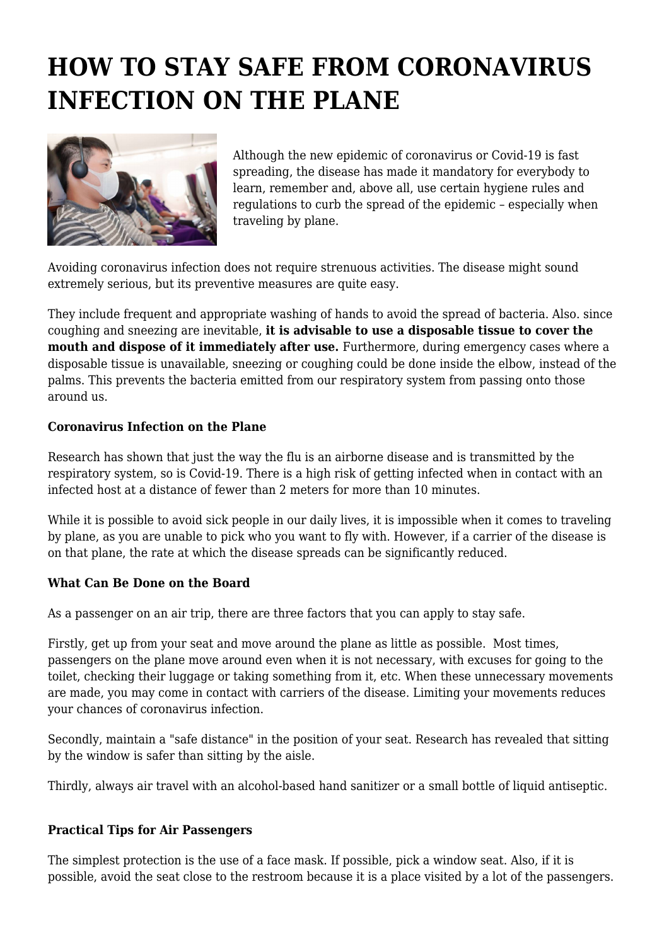## **HOW TO STAY SAFE FROM CORONAVIRUS INFECTION ON THE PLANE**



Although the new epidemic of coronavirus or Covid-19 is fast spreading, the disease has made it mandatory for everybody to learn, remember and, above all, use certain hygiene rules and regulations to curb the spread of the epidemic – especially when traveling by plane.

Avoiding coronavirus infection does not require strenuous activities. The disease might sound extremely serious, but its preventive measures are quite easy.

They include frequent and appropriate washing of hands to avoid the spread of bacteria. Also. since coughing and sneezing are inevitable, **it is advisable to use a disposable tissue to cover the** mouth and dispose of it immediately after use. Furthermore, during emergency cases where a disposable tissue is unavailable, sneezing or coughing could be done inside the elbow, instead of the palms. This prevents the bacteria emitted from our respiratory system from passing onto those around us.

## **Coronavirus Infection on the Plane**

Research has shown that just the way the flu is an airborne disease and is transmitted by the respiratory system, so is Covid-19. There is a high risk of getting infected when in contact with an infected host at a distance of fewer than 2 meters for more than 10 minutes.

While it is possible to avoid sick people in our daily lives, it is impossible when it comes to traveling by plane, as you are unable to pick who you want to fly with. However, if a carrier of the disease is on that plane, the rate at which the disease spreads can be significantly reduced.

## **What Can Be Done on the Board**

As a passenger on an air trip, there are three factors that you can apply to stay safe.

Firstly, get up from your seat and move around the plane as little as possible. Most times, passengers on the plane move around even when it is not necessary, with excuses for going to the toilet, checking their luggage or taking something from it, etc. When these unnecessary movements are made, you may come in contact with carriers of the disease. Limiting your movements reduces your chances of coronavirus infection.

Secondly, maintain a "safe distance" in the position of your seat. Research has revealed that sitting by the window is safer than sitting by the aisle.

Thirdly, always air travel with an alcohol-based hand sanitizer or a small bottle of liquid antiseptic.

## **Practical Tips for Air Passengers**

The simplest protection is the use of a face mask. If possible, pick a window seat. Also, if it is possible, avoid the seat close to the restroom because it is a place visited by a lot of the passengers.